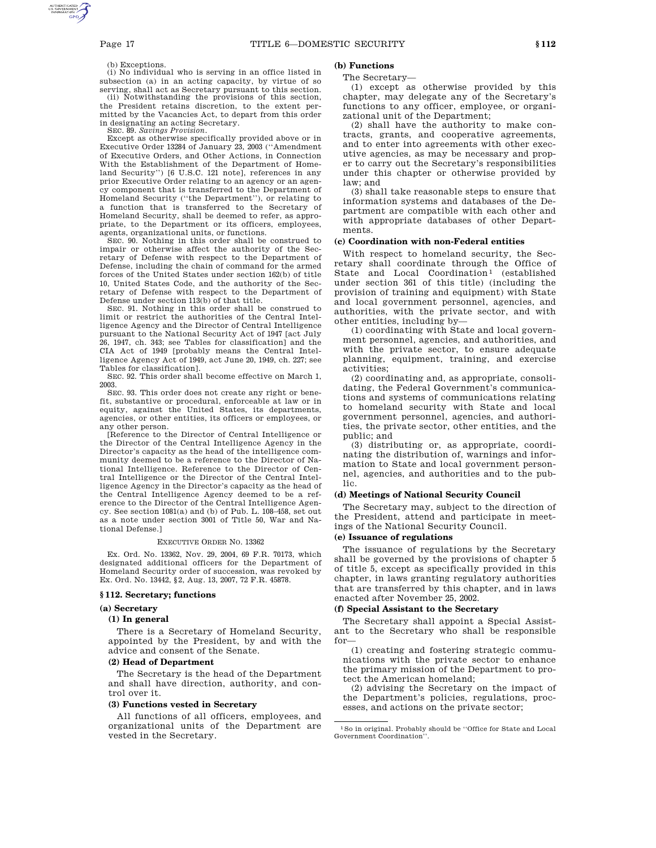#### (b) Exceptions.

(i) No individual who is serving in an office listed in subsection (a) in an acting capacity, by virtue of so serving, shall act as Secretary pursuant to this section.

(ii) Notwithstanding the provisions of this section, the President retains discretion, to the extent permitted by the Vacancies Act, to depart from this order in designating an acting Secretary.

SEC. 89. *Savings Provision.*

Except as otherwise specifically provided above or in Executive Order 13284 of January 23, 2003 (''Amendment of Executive Orders, and Other Actions, in Connection With the Establishment of the Department of Homeland Security'') [6 U.S.C. 121 note], references in any prior Executive Order relating to an agency or an agency component that is transferred to the Department of Homeland Security (''the Department''), or relating to a function that is transferred to the Secretary of Homeland Security, shall be deemed to refer, as appropriate, to the Department or its officers, employees, agents, organizational units, or functions.

SEC. 90. Nothing in this order shall be construed to impair or otherwise affect the authority of the Secretary of Defense with respect to the Department of Defense, including the chain of command for the armed forces of the United States under section 162(b) of title 10, United States Code, and the authority of the Secretary of Defense with respect to the Department of Defense under section 113(b) of that title. SEC. 91. Nothing in this order shall be construed to

limit or restrict the authorities of the Central Intelligence Agency and the Director of Central Intelligence pursuant to the National Security Act of 1947 [act July 26, 1947, ch. 343; see Tables for classification] and the CIA Act of 1949 [probably means the Central Intelligence Agency Act of 1949, act June 20, 1949, ch. 227; see Tables for classification].

SEC. 92. This order shall become effective on March 1, 2003.

SEC. 93. This order does not create any right or benefit, substantive or procedural, enforceable at law or in equity, against the United States, its departments, agencies, or other entities, its officers or employees, or any other person.

[Reference to the Director of Central Intelligence or the Director of the Central Intelligence Agency in the Director's capacity as the head of the intelligence community deemed to be a reference to the Director of National Intelligence. Reference to the Director of Central Intelligence or the Director of the Central Intelligence Agency in the Director's capacity as the head of the Central Intelligence Agency deemed to be a reference to the Director of the Central Intelligence Agency. See section 1081(a) and (b) of Pub. L. 108–458, set out as a note under section 3001 of Title 50, War and National Defense.]

#### EXECUTIVE ORDER NO. 13362

Ex. Ord. No. 13362, Nov. 29, 2004, 69 F.R. 70173, which designated additional officers for the Department of Homeland Security order of succession, was revoked by Ex. Ord. No. 13442, §2, Aug. 13, 2007, 72 F.R. 45878.

#### **§ 112. Secretary; functions**

#### **(a) Secretary**

#### **(1) In general**

There is a Secretary of Homeland Security, appointed by the President, by and with the advice and consent of the Senate.

#### **(2) Head of Department**

The Secretary is the head of the Department and shall have direction, authority, and control over it.

### **(3) Functions vested in Secretary**

All functions of all officers, employees, and organizational units of the Department are vested in the Secretary.

## **(b) Functions**

#### The Secretary—

(1) except as otherwise provided by this chapter, may delegate any of the Secretary's functions to any officer, employee, or organizational unit of the Department;

(2) shall have the authority to make contracts, grants, and cooperative agreements, and to enter into agreements with other executive agencies, as may be necessary and proper to carry out the Secretary's responsibilities under this chapter or otherwise provided by law; and

(3) shall take reasonable steps to ensure that information systems and databases of the Department are compatible with each other and with appropriate databases of other Departments.

#### **(c) Coordination with non-Federal entities**

With respect to homeland security, the Secretary shall coordinate through the Office of State and Local Coordination<sup>1</sup> (established under section 361 of this title) (including the provision of training and equipment) with State and local government personnel, agencies, and authorities, with the private sector, and with other entities, including by—

(1) coordinating with State and local government personnel, agencies, and authorities, and with the private sector, to ensure adequate planning, equipment, training, and exercise activities;

(2) coordinating and, as appropriate, consolidating, the Federal Government's communications and systems of communications relating to homeland security with State and local government personnel, agencies, and authorities, the private sector, other entities, and the public; and

(3) distributing or, as appropriate, coordinating the distribution of, warnings and information to State and local government personnel, agencies, and authorities and to the public.

#### **(d) Meetings of National Security Council**

The Secretary may, subject to the direction of the President, attend and participate in meetings of the National Security Council.

#### **(e) Issuance of regulations**

The issuance of regulations by the Secretary shall be governed by the provisions of chapter 5 of title 5, except as specifically provided in this chapter, in laws granting regulatory authorities that are transferred by this chapter, and in laws enacted after November 25, 2002.

#### **(f) Special Assistant to the Secretary**

The Secretary shall appoint a Special Assistant to the Secretary who shall be responsible for—

(1) creating and fostering strategic communications with the private sector to enhance the primary mission of the Department to protect the American homeland;

(2) advising the Secretary on the impact of the Department's policies, regulations, processes, and actions on the private sector;

 $^{\rm 1}\!$  So in original. Probably should be ''Office for State and Local Government Coordination''.